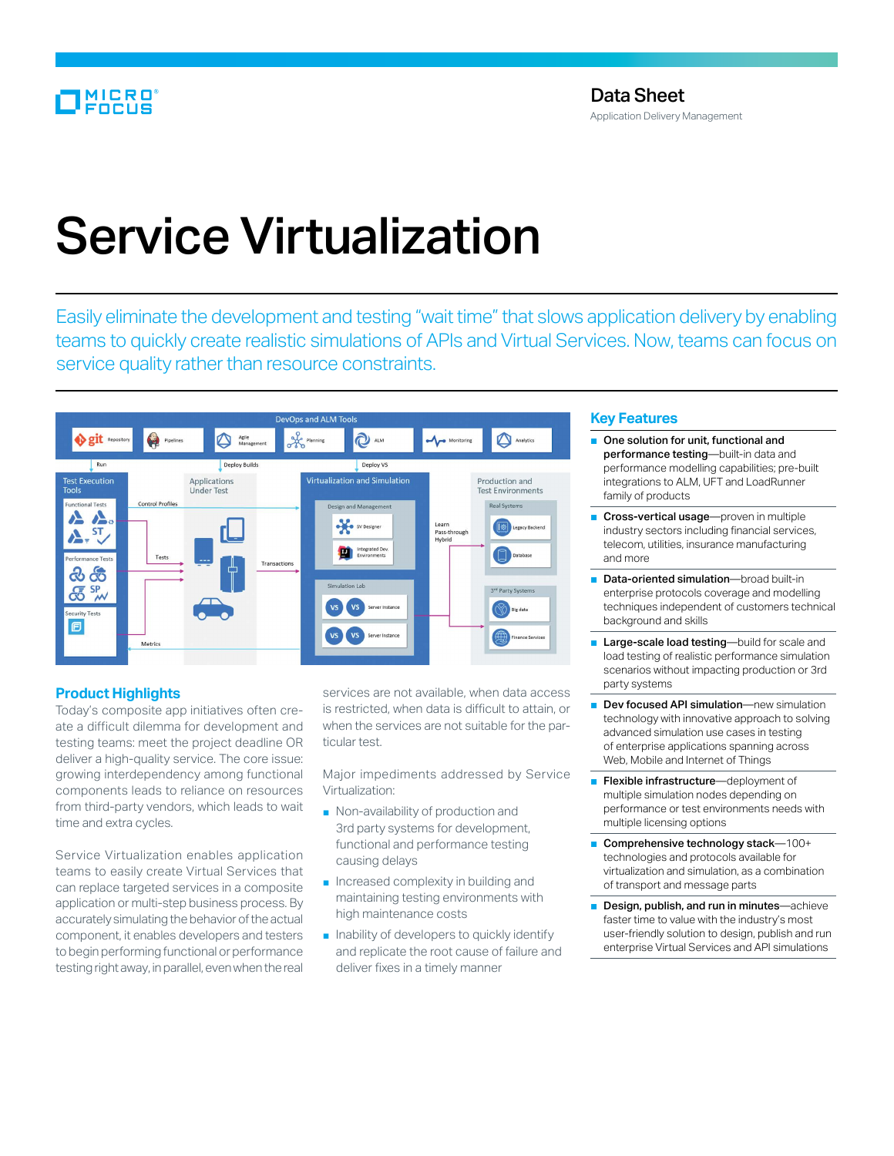# Service Virtualization

Easily eliminate the development and testing "wait time" that slows application delivery by enabling teams to quickly create realistic simulations of APIs and Virtual Services. Now, teams can focus on service quality rather than resource constraints.



# **Product Highlights**

Today's composite app initiatives often create a difficult dilemma for development and testing teams: meet the project deadline OR deliver a high-quality service. The core issue: growing interdependency among functional components leads to reliance on resources from third-party vendors, which leads to wait time and extra cycles.

Service Virtualization enables application teams to easily create Virtual Services that can replace targeted services in a composite application or multi-step business process. By accurately simulating the behavior of the actual component, it enables developers and testers to begin performing functional or performance testing right away, in parallel, even when the real services are not available, when data access is restricted, when data is difficult to attain, or when the services are not suitable for the particular test.

Major impediments addressed by Service Virtualization:

- Non-availability of production and 3rd party systems for development, functional and performance testing causing delays
- Increased complexity in building and maintaining testing environments with high maintenance costs
- Inability of developers to quickly identify and replicate the root cause of failure and deliver fixes in a timely manner

# **Key Features**

- One solution for unit, functional and performance testing-built-in data and performance modelling capabilities; pre-built integrations to ALM, UFT and LoadRunner family of products
- Cross-vertical usage—proven in multiple industry sectors including financial services, telecom, utilities, insurance manufacturing and more
- Data-oriented simulation—broad built-in enterprise protocols coverage and modelling techniques independent of customers technical background and skills
- Large-scale load testing—build for scale and load testing of realistic performance simulation scenarios without impacting production or 3rd party systems
- Dev focused API simulation—new simulation technology with innovative approach to solving advanced simulation use cases in testing of enterprise applications spanning across Web, Mobile and Internet of Things
- Flexible infrastructure—deployment of multiple simulation nodes depending on performance or test environments needs with multiple licensing options
- Comprehensive technology stack-100+ technologies and protocols available for virtualization and simulation, as a combination of transport and message parts
- Design, publish, and run in minutes—achieve faster time to value with the industry's most user-friendly solution to design, publish and run enterprise Virtual Services and API simulations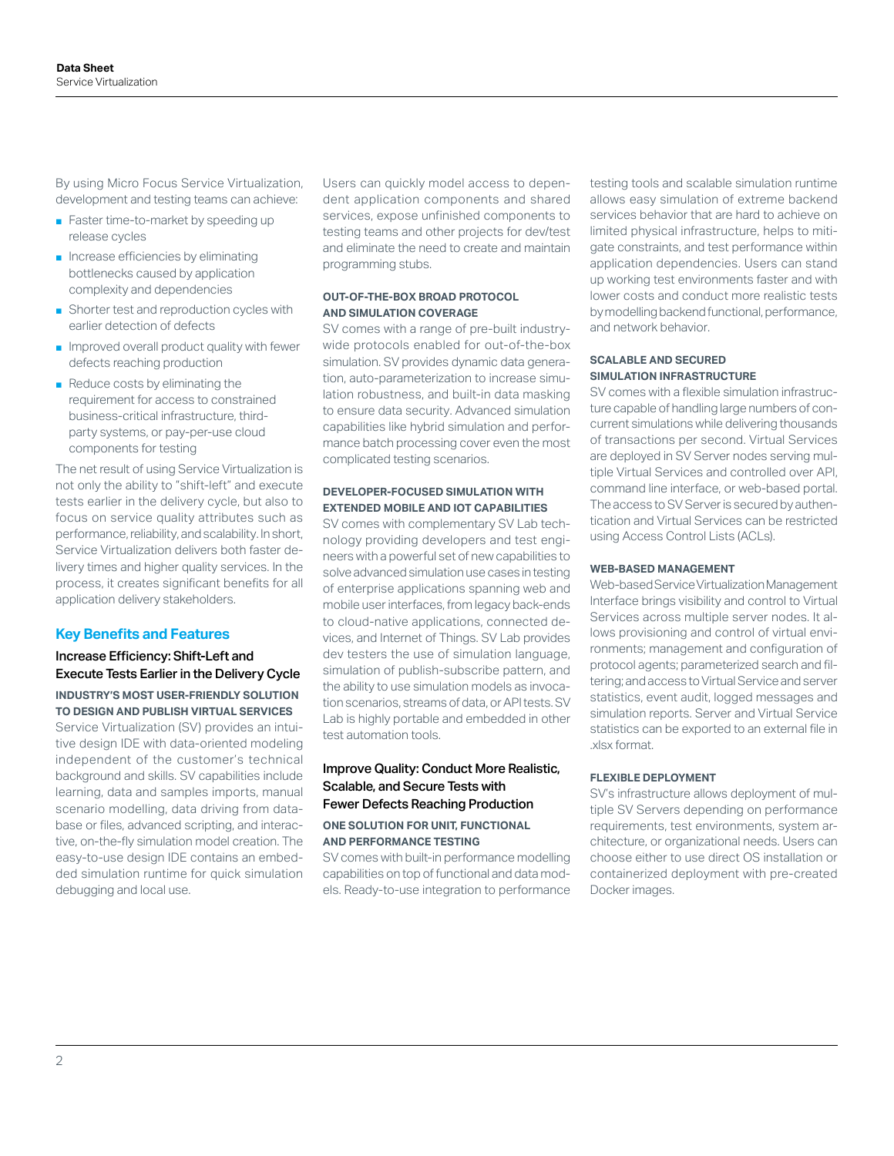By using Micro Focus Service Virtualization, development and testing teams can achieve:

- Faster time-to-market by speeding up release cycles
- Increase efficiencies by eliminating bottlenecks caused by application complexity and dependencies
- Shorter test and reproduction cycles with earlier detection of defects
- Improved overall product quality with fewer defects reaching production
- Reduce costs by eliminating the requirement for access to constrained business-critical infrastructure, thirdparty systems, or pay-per-use cloud components for testing

The net result of using Service Virtualization is not only the ability to "shift-left" and execute tests earlier in the delivery cycle, but also to focus on service quality attributes such as performance, reliability, and scalability. In short, Service Virtualization delivers both faster delivery times and higher quality services. In the process, it creates significant benefits for all application delivery stakeholders.

# **Key Benefits and Features**

# Increase Efficiency: Shift-Left and Execute Tests Earlier in the Delivery Cycle **INDUSTRY'S MOST USER-FRIENDLY SOLUTION TO DESIGN AND PUBLISH VIRTUAL SERVICES**

Service Virtualization (SV) provides an intuitive design IDE with data-oriented modeling independent of the customer's technical background and skills. SV capabilities include learning, data and samples imports, manual scenario modelling, data driving from database or files, advanced scripting, and interactive, on-the-fly simulation model creation. The easy-to-use design IDE contains an embedded simulation runtime for quick simulation debugging and local use.

Users can quickly model access to dependent application components and shared services, expose unfinished components to testing teams and other projects for dev/test and eliminate the need to create and maintain programming stubs.

### **OUT-OF-THE-BOX BROAD PROTOCOL AND SIMULATION COVERAGE**

SV comes with a range of pre-built industrywide protocols enabled for out-of-the-box simulation. SV provides dynamic data generation, auto-parameterization to increase simulation robustness, and built-in data masking to ensure data security. Advanced simulation capabilities like hybrid simulation and performance batch processing cover even the most complicated testing scenarios.

# **DEVELOPER-FOCUSED SIMULATION WITH EXTENDED MOBILE AND IOT CAPABILITIES**

SV comes with complementary SV Lab technology providing developers and test engineers with a powerful set of new capabilities to solve advanced simulation use cases in testing of enterprise applications spanning web and mobile user interfaces, from legacy back-ends to cloud-native applications, connected devices, and Internet of Things. SV Lab provides dev testers the use of simulation language, simulation of publish-subscribe pattern, and the ability to use simulation models as invocation scenarios, streams of data, or API tests. SV Lab is highly portable and embedded in other test automation tools.

# Improve Quality: Conduct More Realistic, Scalable, and Secure Tests with Fewer Defects Reaching Production

#### **ONE SOLUTION FOR UNIT, FUNCTIONAL AND PERFORMANCE TESTING**

SV comes with built-in performance modelling capabilities on top of functional and data models. Ready-to-use integration to performance testing tools and scalable simulation runtime allows easy simulation of extreme backend services behavior that are hard to achieve on limited physical infrastructure, helps to mitigate constraints, and test performance within application dependencies. Users can stand up working test environments faster and with lower costs and conduct more realistic tests by modelling backend functional, performance, and network behavior.

#### **SCALABLE AND SECURED SIMULATION INFRASTRUCTURE**

SV comes with a flexible simulation infrastructure capable of handling large numbers of concurrent simulations while delivering thousands of transactions per second. Virtual Services are deployed in SV Server nodes serving multiple Virtual Services and controlled over API, command line interface, or web-based portal. The access to SV Server is secured by authentication and Virtual Services can be restricted using Access Control Lists (ACLs).

#### **WEB-BASED MANAGEMENT**

Web-based Service Virtualization Management Interface brings visibility and control to Virtual Services across multiple server nodes. It allows provisioning and control of virtual environments; management and configuration of protocol agents; parameterized search and filtering; and access to Virtual Service and server statistics, event audit, logged messages and simulation reports. Server and Virtual Service statistics can be exported to an external file in .xlsx format.

#### **FLEXIBLE DEPLOYMENT**

SV's infrastructure allows deployment of multiple SV Servers depending on performance requirements, test environments, system architecture, or organizational needs. Users can choose either to use direct OS installation or containerized deployment with pre-created Docker images.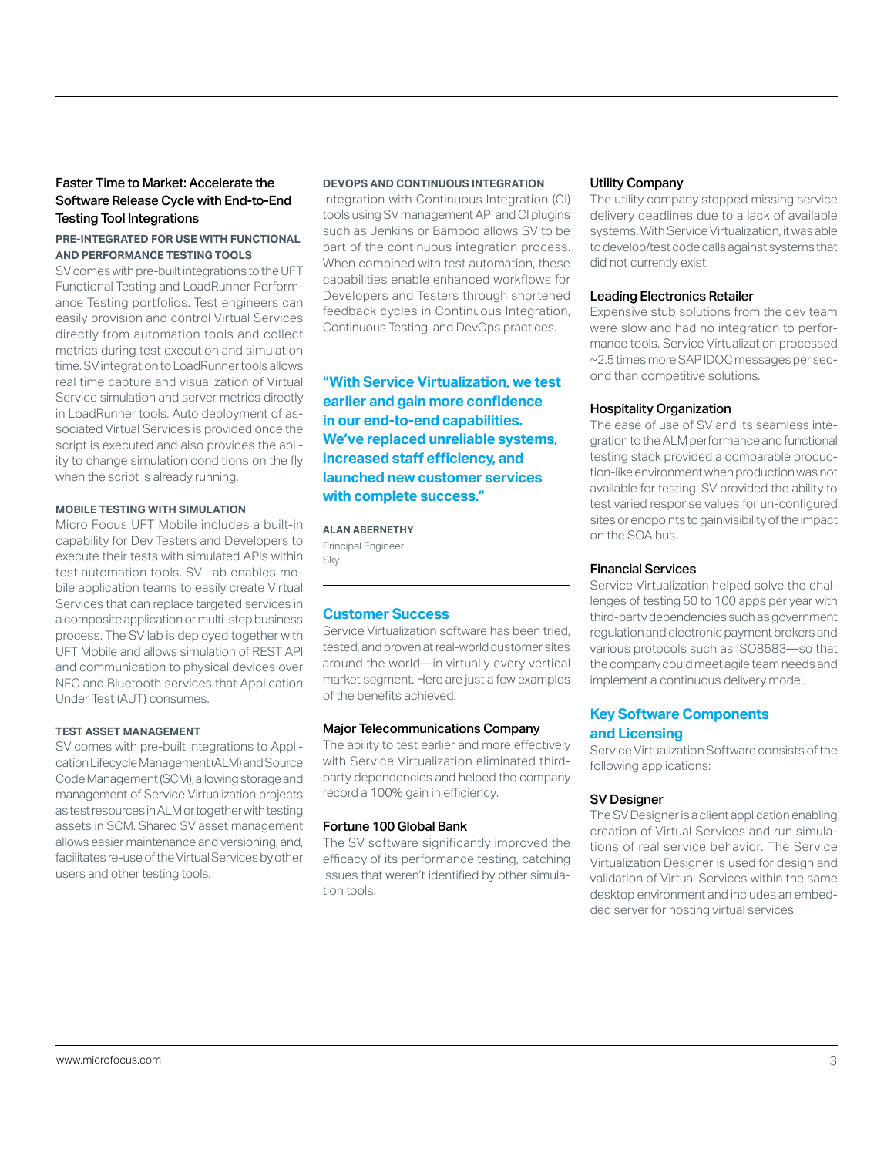# Faster Time to Market: Accelerate the Software Release Cycle with End-to-End Testing Tool Integrations

# **PRE-INTEGRATED FOR USE WITH FUNCTIONAL AND PERFORMANCE TESTING TOOLS**

SV comes with pre-built integrations to the UFT Functional Testing and LoadRunner Performance Testing portfolios. Test engineers can easily provision and control Virtual Services directly from automation tools and collect metrics during test execution and simulation time. SV integration to LoadRunner tools allows real time capture and visualization of Virtual Service simulation and server metrics directly in LoadRunner tools. Auto deployment of associated Virtual Services is provided once the script is executed and also provides the ability to change simulation conditions on the fly when the script is already running.

#### **MOBILE TESTING WITH SIMULATION**

Micro Focus UFT Mobile includes a built-in capability for Dev Testers and Developers to execute their tests with simulated APIs within test automation tools. SV Lab enables mobile application teams to easily create Virtual Services that can replace targeted services in a composite application or multi-step business process. The SV lab is deployed together with UFT Mobile and allows simulation of REST API and communication to physical devices over NFC and Bluetooth services that Application Under Test (AUT) consumes.

#### **TEST ASSET MANAGEMENT**

SV comes with pre-built integrations to Application Lifecycle Management (ALM) and Source Code Management (SCM), allowing storage and management of Service Virtualization projects as test resources in ALM or together with testing assets in SCM. Shared SV asset management allows easier maintenance and versioning, and, facilitates re-use of the Virtual Services by other users and other testing tools.

#### **DEVOPS AND CONTINUOUS INTEGRATION**

Integration with Continuous Integration (CI) tools using SV management API and CI plugins such as Jenkins or Bamboo allows SV to be part of the continuous integration process. When combined with test automation, these capabilities enable enhanced workflows for Developers and Testers through shortened feedback cycles in Continuous Integration, Continuous Testing, and DevOps practices.

**"With Service Virtualization, we test earlier and gain more confidence in our end-to-end capabilities. We've replaced unreliable systems, increased staff efficiency, and launched new customer services with complete success."**

#### **ALAN ABERNETHY**

Principal Engineer Sky

# **Customer Success**

Service Virtualization software has been tried, tested, and proven at real-world customer sites around the world—in virtually every vertical market segment. Here are just a few examples of the benefits achieved:

#### Major Telecommunications Company

The ability to test earlier and more effectively with Service Virtualization eliminated thirdparty dependencies and helped the company record a 100% gain in efficiency.

#### Fortune 100 Global Bank

The SV software significantly improved the efficacy of its performance testing, catching issues that weren't identified by other simulation tools.

#### Utility Company

The utility company stopped missing service delivery deadlines due to a lack of available systems. With Service Virtualization, it was able to develop/test code calls against systems that did not currently exist.

#### Leading Electronics Retailer

Expensive stub solutions from the dev team were slow and had no integration to performance tools. Service Virtualization processed ~2.5 times more SAP IDOC messages per second than competitive solutions.

#### Hospitality Organization

The ease of use of SV and its seamless integration to the ALM performance and functional testing stack provided a comparable production-like environment when production was not available for testing. SV provided the ability to test varied response values for un-configured sites or endpoints to gain visibility of the impact on the SOA bus.

# Financial Services

Service Virtualization helped solve the challenges of testing 50 to 100 apps per year with third-party dependencies such as government regulation and electronic payment brokers and various protocols such as ISO8583—so that the company could meet agile team needs and implement a continuous delivery model.

# **Key Software Components and Licensing**

Service Virtualization Software consists of the following applications:

#### SV Designer

The SV Designer is a client application enabling creation of Virtual Services and run simulations of real service behavior. The Service Virtualization Designer is used for design and validation of Virtual Services within the same desktop environment and includes an embedded server for hosting virtual services.